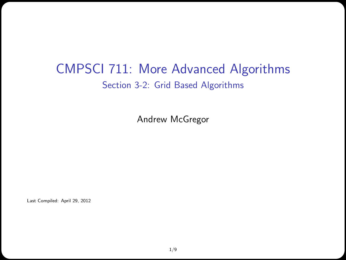#### CMPSCI 711: More Advanced Algorithms Section 3-2: Grid Based Algorithms

Andrew McGregor

Last Compiled: April 29, 2012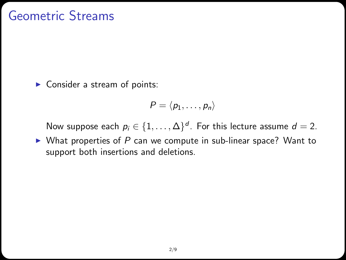#### Geometric Streams

 $\blacktriangleright$  Consider a stream of points:

$$
P = \langle p_1, \ldots, p_n \rangle
$$

Now suppose each  $p_i \in \{1,\ldots,\Delta\}^d$ . For this lecture assume  $d=2$ .

 $\triangleright$  What properties of P can we compute in sub-linear space? Want to support both insertions and deletions.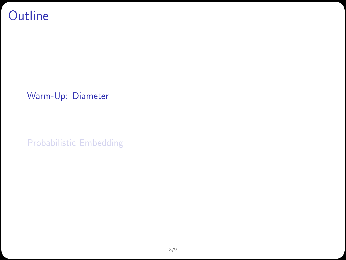## **Outline**

[Warm-Up: Diameter](#page-2-0)

<span id="page-2-0"></span>[Probabilistic Embedding](#page-4-0)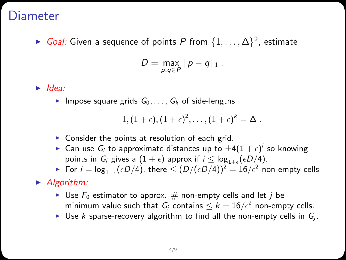#### Diameter

► *Goal:* Given a sequence of points P from  $\{1,\ldots,\Delta\}^2$ , estimate

$$
D=\max_{p,q\in P} \|p-q\|_1.
$$

 $\blacktriangleright$  Idea:

Impose square grids  $G_0, \ldots, G_k$  of side-lengths

$$
1,(1+\epsilon),(1+\epsilon)^2,\ldots,(1+\epsilon)^k=\Delta.
$$

- $\triangleright$  Consider the points at resolution of each grid.
- $\blacktriangleright$  Can use  $G_i$  to approximate distances up to  $\pm 4(1+\epsilon)^i$  so knowing points in  $G_i$  gives a  $(1+\epsilon)$  approx if  $i \leq \log_{1+\epsilon}(\epsilon D/4)$ .
- $\blacktriangleright$  For  $i = \log_{1+\epsilon}(\epsilon D/4)$ , there  $\leq (D/(\epsilon D/4))^2 = 16/\epsilon^2$  non-empty cells

#### $\blacktriangleright$  Algorithm:

- I Use  $F_0$  estimator to approx. # non-empty cells and let j be minimum value such that  $G_j$  contains  $\leq k=16/\epsilon^2$  non-empty cells.
- I Use k sparse-recovery algorithm to find all the non-empty cells in  $G_i$ .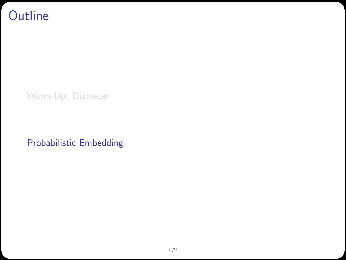## **Outline**

[Warm-Up: Diameter](#page-2-0)

<span id="page-4-0"></span>[Probabilistic Embedding](#page-4-0)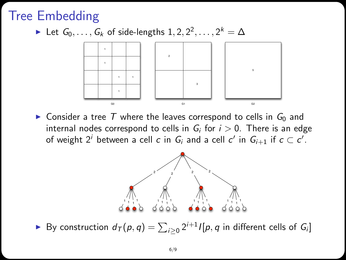# Tree Embedding

► Let  $G_0, \ldots, G_k$  of side-lengths  $1, 2, 2^2, \ldots, 2^k = \Delta$ 



 $\triangleright$  Consider a tree T where the leaves correspond to cells in  $G_0$  and internal nodes correspond to cells in  $G_i$  for  $i > 0$ . There is an edge of weight 2<sup>i</sup> between a cell c in  $G_i$  and a cell c' in  $G_{i+1}$  if  $c\subset c'.$ 



▶ By construction  $d_{\mathcal{T}}(p,q) = \sum_{i \geq 0} 2^{i+1} I[p,q]$  in different cells of  $G_i$ ]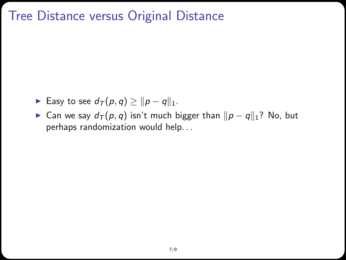## Tree Distance versus Original Distance

- **Easy to see**  $d_{\mathcal{T}}(p, q) \ge ||p q||_1$ .
- ► Can we say  $d_T(p, q)$  isn't much bigger than  $||p q||_1$ ? No, but perhaps randomization would help. . .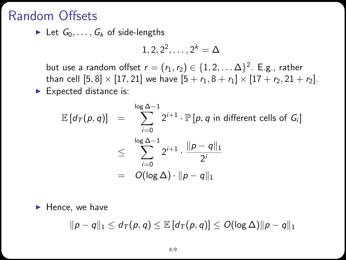#### Random Offsets

In Let  $G_0, \ldots, G_k$  of side-lengths

$$
1,2,2^2,\ldots,2^k=\Delta
$$

but use a random offset  $r=(r_1,r_2)\in\{1,2,\ldots\Delta\}^2$ . E.g., rather than cell  $[5, 8] \times [17, 21]$  we have  $[5 + r_1, 8 + r_1] \times [17 + r_2, 21 + r_2]$ .  $\blacktriangleright$  Expected distance is:

$$
\mathbb{E}\left[d_{\mathcal{T}}(p,q)\right] = \sum_{i=0}^{\log \Delta - 1} 2^{i+1} \cdot \mathbb{P}\left[p,q \text{ in different cells of } G_i\right]
$$
  

$$
\leq \sum_{i=0}^{\log \Delta - 1} 2^{i+1} \cdot \frac{\|p-q\|_1}{2^i}
$$
  

$$
= O(\log \Delta) \cdot \|p-q\|_1
$$

 $\blacktriangleright$  Hence, we have

$$
\|p-q\|_1 \leq d_{\mathcal{T}}(p,q) \leq \mathbb{E}\left[d_{\mathcal{T}}(p,q)\right] \leq O(\log \Delta) \|p-q\|_1
$$